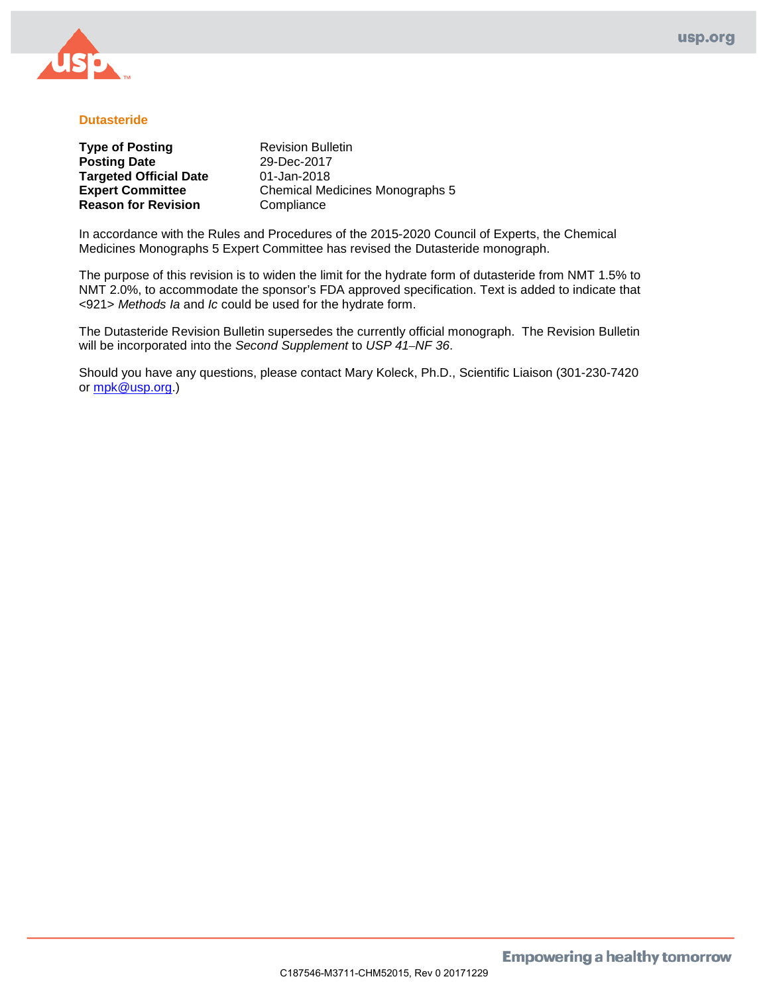

# **Dutasteride**

| <b>Type of Posting</b>        |  |
|-------------------------------|--|
| <b>Posting Date</b>           |  |
| <b>Targeted Official Date</b> |  |
| <b>Expert Committee</b>       |  |
| <b>Reason for Revision</b>    |  |

**Revision Bulletin Posting Date** 29-Dec-2017 01-Jan-2018 **Chemical Medicines Monographs 5 Compliance** 

In accordance with the Rules and Procedures of the 2015-2020 Council of Experts, the Chemical Medicines Monographs 5 Expert Committee has revised the Dutasteride monograph.

The purpose of this revision is to widen the limit for the hydrate form of dutasteride from NMT 1.5% to NMT 2.0%, to accommodate the sponsor's FDA approved specification. Text is added to indicate that <921> *Methods Ia* and *Ic* could be used for the hydrate form.

The Dutasteride Revision Bulletin supersedes the currently official monograph. The Revision Bulletin will be incorporated into the *Second Supplement* to *USP 41–NF 36*.

Should you have any questions, please contact Mary Koleck, Ph.D., Scientific Liaison (301-230-7420 or [mpk@usp.org.](mailto:mpk@usp.org))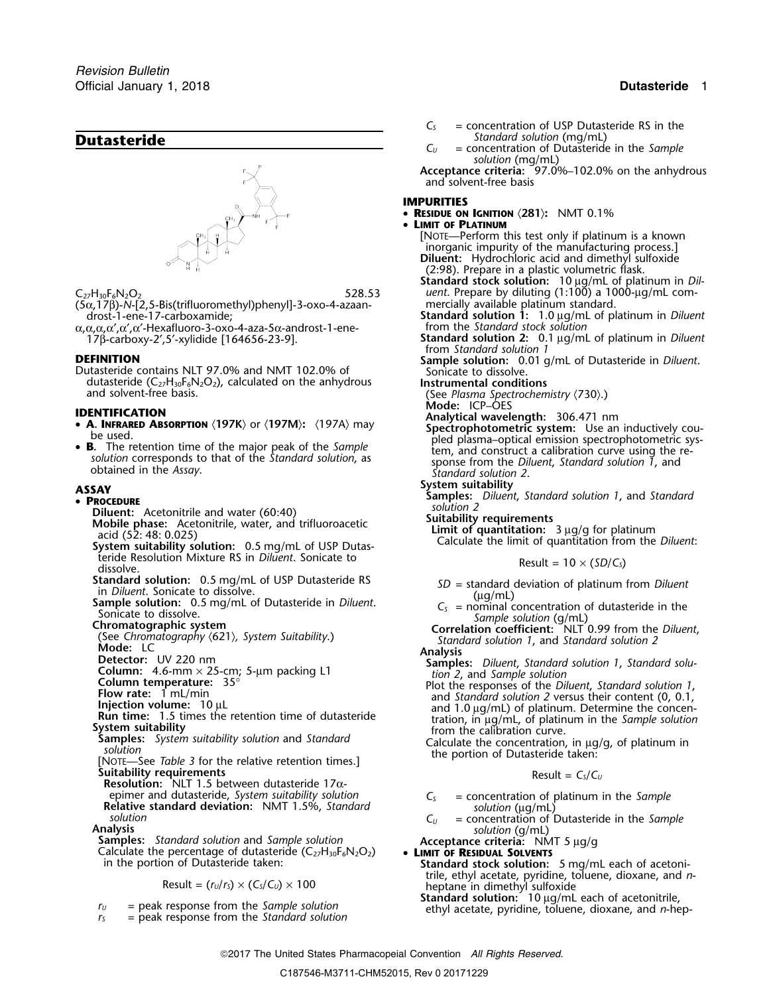

(5α, 17β)-*N*-[2, 5-Bis(trifluoromethyl)phenyl]-3-oxo-4-azaan-<br>drost-1-ene-17-carboxamide;

α,α,α,α',α',α'-Hexafluoro-3-oxo-4-aza-5α-androst-1-ene-<br>17β-carboxy-2',5'-xylidide [164656-23-9].

dutasteride (C<sub>27</sub>H<sub>30</sub>F<sub>6</sub>N<sub>2</sub>O<sub>2</sub>), calculated on the anhydrous **Instrumental conditions**<br>and solvent-free basis. (See *Plasma Spectrocher* 

- **IDENTIFICATION**<br> **A. INFRARED ABSORPTION** (197K) or (197M): (197A) may **Analytical wavelength:** 306.471 nm  **A. INFRARED ABSORPTION**
- solution corresponds to that of the Standard solution, as<br>obtained in the Assay.<br>Standard solution 2.<br>Standard solution 2.

- - **Piluent:** Acetonitrile and water (60:40)<br>Mobile phase: Acetonitrile water and trifluoroacetic **Suitability requirements**
	- **Mobile phase:** Acetonitrile, water, and trifluoroacetic acid (52: 48: 0.025)
	- System suitability solution: 0.5 mg/mL of USP Dutasferide Resolution Mixture RS in *Diluent*. Sonicate to Result =  $10 \times (5D/C_s)$  dissolve.
	-
	-
	-
	-
	-
	-
	-
	-
	-
	-
	-
	- $\overline{\text{S}}$ *Uitability requirements*
	- **Resolution:** NLT 1.5 between dutasteride 17αepimer and dutasteride, *System suitability solution*<br>
	Relative standard deviation: NMT 1.5%, *Standard*<br>
	solution<br>
	Analysis<br>
	Samples: *Standard solution* and *Sample solution*<br>
	C<sub>U</sub> = concentration of Dutasteride in the

in the portion of Dutasteride taken: **Standard stock solution:** 5 mg/mL each of acetoni-

$$
\text{Result} = (r_{\text{U}}/r_{\text{s}}) \times (C_{\text{s}}/C_{\text{U}}) \times 100
$$

- 
- 
- 
- *C<sup>S</sup>* = concentration of USP Dutasteride RS in the
- **Dutasteride** *Standard solution* (mg/mL) *C<sub>U</sub>* = concentration of Dutasteride  $=$  concentration of Dutasteride in the *Sample solution* (mg/mL)

**Acceptance criteria:** 97.0%–102.0% on the anhydrous and solvent-free basis

## **IMPURITIES**

- **RESIDUE ON IGNITION** 〈**281**〉**:** NMT 0.1%
- • **LIMIT OF PLATINUM**
	- [NOTE—Perform this test only if platinum is a known inorganic impurity of the manufacturing process.] **Diluent:** Hydrochloric acid and dimethyl sulfoxide (2:98). Prepare in a plastic volumetric flask.
- **Standard stock solution:** 10 µg/mL of platinum in *Dil-*C<sub>27</sub>H<sub>30</sub>F<sub>6</sub>N<sub>2</sub>O<sub>2</sub> com- 528.53 uent. Prepare by diluting (1:100) a 1000-µg/mL com
	- mercially available platinum standard.<br> **Standard solution 1:** 1.0 µg/mL of platinum in *Diluent*<br>
	from the *Standard stock solution*
	- <sup>17</sup>β-carboxy-2′,5′-xylidide [164656-23-9]. **Standard solution 2:** 0.1 <sup>µ</sup>g/mL of platinum in *Diluent* from *Standard solution 1*
- **DEFINITION Sample solution:** 0.01 g/mL of Dutasteride in *Diluent*.<br>
Dutasteride contains NLT 97.0% and NMT 102.0% of Sonicate to dissolve.
	-
	- (See *Plasma Spectrochemistry*  $(730)$ .)<br>**Mode:** ICP-OES
	-
	- **A. INFRAKED ABSORPTION** (197K) or (197M): (197A) may **Spectrophotometric system:** Use an inductively could be used.<br> **B.** The retention time of the major peak of the *Sample* plasma-optical emission spectrophotometric sys
		-
- **System suitability**<br>  **PROCEDURE**<br> **PROCEDURE**<br> **Solution 2**<br> **Solution 2**<br> **Solution 2** 
	-
	- Limit of quantitation: 3 µg/g for platinum<br>Calculate the limit of quantitation from the *Diluent*:

- 
- 
- 
- 
- 
- Standard solution: 0.5 mg/mL of USP Dutasteride RS<br>
SD = standard deviation of platinum from Diluent<br>
Sample solution: 0.5 mg/mL of Dutasteride in Diluent.<br>
Simical concentration of dutasteride in the<br>
Simical concentrati
	-

$$
Result = CS/CU
$$

- 
- 
- 

- trile, ethyl acetate, pyridine, toluene, dioxane, and *n*-<br>heptane in dimethyl sulfoxide<br>**Standard solution:** 10 µg/mL each of acetonitrile,
- $r_y$  = peak response from the Sample solution<br> $r_s$  = peak response from the Standard solution ethyl acetate, pyridine, toluene, dioxane, and n-hep-
	- 2017 The United States Pharmacopeial Convention *All Rights Reserved.*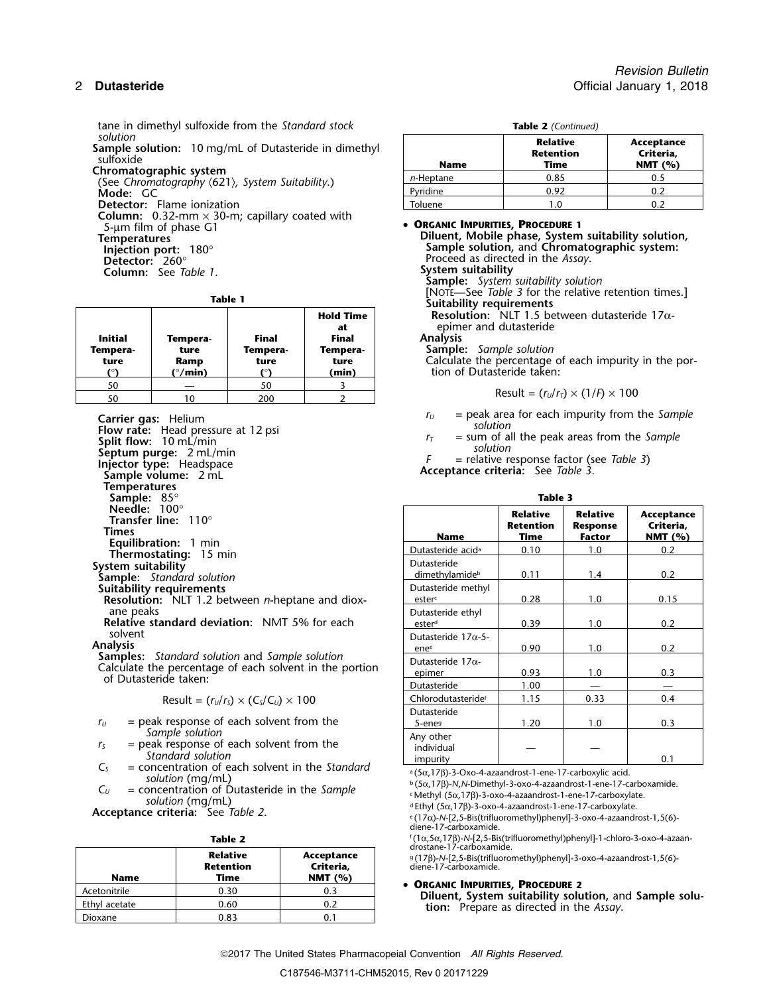tane in dimethyl sulfoxide from the *Standard stock* **Table 2** *(Continued)*

**Sample solution:** 10 mg/mL of Dutasteride in dimethyl<br>sulfoxide<br>Chromatographic system<br>(See Chromatography  $(621)$ , System Suitability.)<br>Mode: GC **Column:** 0.32-mm × 30-m; capillary coated with 5-µm film of phase G1 • **<sup>O</sup>RGANIC IMPURITIES, PROCEDURE <sup>1</sup>**

**Column:** See *Table 1*.

| <b>Initial</b><br>Tempera-<br>ture | Tempera-<br>ture<br>Ramp<br>$^{\circ}$ /min) | <b>Final</b><br>Tempera-<br>ture | <b>Hold Time</b><br>at<br><b>Final</b><br>Tempera-<br>ture<br>(min) |
|------------------------------------|----------------------------------------------|----------------------------------|---------------------------------------------------------------------|
| 50                                 |                                              |                                  |                                                                     |
| 50                                 |                                              | 200                              |                                                                     |

**Carrier gas:** Helium<br> **Flow rate:** Head pressure at 12 psi<br> **Split flow:** 10 mL/min<br> **Split flow:** 10 mL/min<br> **Split flow:** 2 mL/min<br> **Injector type:** Headspace<br> **Sample volume:** 2 mL<br> **Sample volume:** 2 mL<br> **Sample volu Temperatures** Sample: 85°<br>Needle: 100° **Thermostating: 15 min**<br>System suitability **Suitability requirements Dutasteride methyl** Dutasteride methyl

$$
Result = (r_U/r_S) \times (C_S/C_U) \times 100
$$

- $r_U$  = peak response of each solvent from the *Sample solution* **Sample solution** Any other
- 
- $C<sub>S</sub>$  = concentration of each solvent in the *Standard* solution (mg/mL)
- $C_U$  = concentration of Dutasteride in the *Sample*<br>*solution* (mg/mL)

**Acceptance criteria:** See *Table 2.* 

| × |  |
|---|--|
|---|--|

| <b>Name</b>   | <b>Relative</b><br><b>Retention</b><br>Time | Acceptance<br>Criteria,<br>NMT $(%)$ |
|---------------|---------------------------------------------|--------------------------------------|
| Acetonitrile  | 0.30                                        | 0.3                                  |
| Ethyl acetate | 0.60                                        | 0.2                                  |
| Dioxane       | 0.83                                        |                                      |

| solution<br>ample solution: 10 mg/mL of Dutasteride in dimethyl<br>sulfoxide              | <b>Name</b> | Relative<br>Retention<br>Time | Acceptance<br>Criteria.<br>NMT $(%)$ |
|-------------------------------------------------------------------------------------------|-------------|-------------------------------|--------------------------------------|
| hromatographic system<br>(See Chromatography $\langle 621 \rangle$ , System Suitability.) | n-Heptane   | 0.85                          | 0.5                                  |
| Mode: GC                                                                                  | Pvridine    | 0.92                          | 0.2                                  |
| <b>Detector:</b> Flame ionization                                                         | Toluene     | 1.0                           |                                      |

**Temperatures Diluent, Mobile phase, System suitability solution, Sample solution,** and **Chromatographic system: Injection port:** 180° **Detector:** 180°<br> **Detector:** 260°<br> **Detector:** 260°<br> **Detector:** 260°<br> **Detector:** 260°<br> **Detector:** 260°<br> **Detector:** 260°<br> **Detector:** 260°<br> **System suitability Sample:** *System suitability solution* [NOTE—See *Table 3* for the relative retention times.] **Table 1 Suitability requirements Resolution:** NLT 1.5 between dutasteride 17α**at** epimer and dutasteride **Initial Tempera- Final Final Analysis Tempera- ture Tempera- Tempera- Sample:** *Sample solution* **Calculate the percentage of each impurity in the por-(**°**) (**°**/min) (**°**) (min)** tion of Dutasteride taken:  $Result = (r_U/r_T) \times (1/F) \times 100$ 

- 
- 

| ĸ | ۱<br>ı |  |
|---|--------|--|
|   |        |  |

| Needle: $100^\circ$<br><b>Transfer line:</b> $110^\circ$                                                                                                                  |                                         | <b>Relative</b><br><b>Retention</b> | <b>Relative</b><br><b>Response</b> | Acceptance<br>Criteria, |
|---------------------------------------------------------------------------------------------------------------------------------------------------------------------------|-----------------------------------------|-------------------------------------|------------------------------------|-------------------------|
| Times                                                                                                                                                                     | <b>Name</b>                             | Time                                | <b>Factor</b>                      | NMT $(%)$               |
| <b>Equilibration: 1 min</b><br>Thermostating: 15 min                                                                                                                      | Dutasteride acid <sup>a</sup>           | 0.10                                | 1.0                                | 0.2                     |
| System suitability                                                                                                                                                        | Dutasteride<br>dimethylamideb           | 0.11                                | 1.4                                | 0.2                     |
| <b>Sample:</b> Standard solution<br><b>Suitability requirements</b><br>Resolution: NLT 1.2 between n-heptane and diox-                                                    | Dutasteride methyl<br>ester             | 0.28                                | 1.0                                | 0.15                    |
| ane peaks<br><b>Relative standard deviation: NMT 5% for each</b>                                                                                                          | Dutasteride ethyl<br>ester <sup>d</sup> | 0.39                                | 1.0                                | 0.2                     |
| solvent<br>Analysis                                                                                                                                                       | Dutasteride $17\alpha - 5$ -<br>enee    | 0.90                                | 1.0                                | 0.2                     |
| <b>Samples:</b> Standard solution and Sample solution<br>Calculate the percentage of each solvent in the portion<br>of Dutasteride taken:                                 | Dutasteride $17\alpha$ -<br>epimer      | 0.93                                | 1.0                                | 0.3                     |
|                                                                                                                                                                           | Dutasteride                             | 1.00                                |                                    |                         |
| Result = $(r_U/r_s) \times (C_s/C_u) \times 100$                                                                                                                          | Chlorodutasteridef                      | 1.15                                | 0.33                               | 0.4                     |
| $=$ peak response of each solvent from the<br>$r_U$                                                                                                                       | Dutasteride<br>5-ene <sup>g</sup>       | 1.20                                | 1.0                                | 0.3                     |
| Sample solution<br>= peak response of each solvent from the<br>$r_{\rm S}$<br>Standard solution<br>$\epsilon$ is the set of $\epsilon$ is the set of $\epsilon$<br>$\sim$ | Any other<br>individual<br>impurity     |                                     |                                    | 0.1                     |

<sup>a</sup> (5α, 17β)-3-Oxo-4-azaandrost-1-ene-17-carboxylic acid.<br><sup>b</sup> (5α, 17β)-N, N-Dimethyl-3-oxo-4-azaandrost-1-ene-17-carboxamide.

<sup>c</sup> Methyl (5α,17β)-3-oxo-4-azaandrost-1-ene-17-carboxylate.<br><sup>d</sup> Ethyl (5α,17β)-3-oxo-4-azaandrost-1-ene-17-carboxylate.

.(17α)-*N*-[2,5-Bis(trifluoromethyl)phenyl]-3-oxo-4-azaandrost-1,5(6) diene-17-carboxamide.

<sup>f</sup> **Table 2** .(1<sup>α</sup>,5α,17β)-*N*-[2,5-Bis(trifluoromethyl)phenyl]-1-chloro-3-oxo-4-azaan-drostane-17-carboxamide.

**Relative | Acceptance** | <sub>9</sub>(17β)-*N*-[2,5-Bis(trifluoromethyl)phenyl]-3-oxo-4-azaandrost-1,5(6)-<br>**Retention | Criteria,** diene-17-carboxamide.

• ORGANIC IMPURITIES, PROCEDURE 2<br>Diluent, System suitability solution, and Sample solu-<br>tion: Prepare as directed in the Assay.